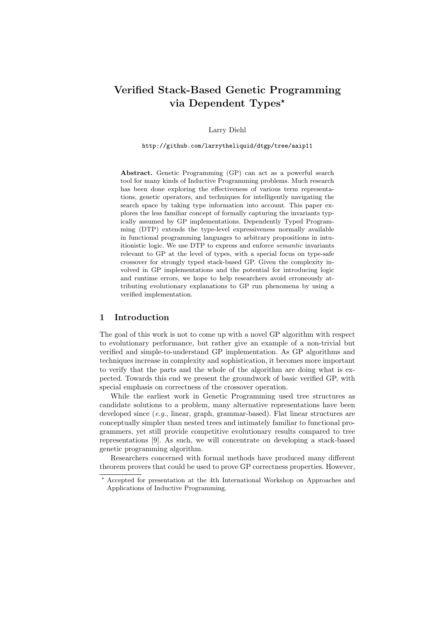# Verified Stack-Based Genetic Programming via Dependent Types<sup>\*</sup>

Larry Diehl

http://github.com/larrytheliquid/dtgp/tree/aaip11

Abstract. Genetic Programming (GP) can act as a powerful search tool for many kinds of Inductive Programming problems. Much research has been done exploring the effectiveness of various term representations, genetic operators, and techniques for intelligently navigating the search space by taking type information into account. This paper explores the less familiar concept of formally capturing the invariants typically assumed by GP implementations. Dependently Typed Programming (DTP) extends the type-level expressiveness normally available in functional programming languages to arbitrary propositions in intuitionistic logic. We use DTP to express and enforce semantic invariants relevant to GP at the level of types, with a special focus on type-safe crossover for strongly typed stack-based GP. Given the complexity involved in GP implementations and the potential for introducing logic and runtime errors, we hope to help researchers avoid erroneously attributing evolutionary explanations to GP run phenomena by using a verified implementation.

### 1 Introduction

The goal of this work is not to come up with a novel GP algorithm with respect to evolutionary performance, but rather give an example of a non-trivial but verified and simple-to-understand GP implementation. As GP algorithms and techniques increase in complexity and sophistication, it becomes more important to verify that the parts and the whole of the algorithm are doing what is expected. Towards this end we present the groundwork of basic verified GP, with special emphasis on correctness of the crossover operation.

While the earliest work in Genetic Programming used tree structures as candidate solutions to a problem, many alternative representations have been developed since (e.g., linear, graph, grammar-based). Flat linear structures are conceptually simpler than nested trees and intimately familiar to functional programmers, yet still provide competitive evolutionary results compared to tree representations [9]. As such, we will concentrate on developing a stack-based genetic programming algorithm.

Researchers concerned with formal methods have produced many different theorem provers that could be used to prove GP correctness properties. However,

<sup>?</sup> Accepted for presentation at the 4th International Workshop on Approaches and Applications of Inductive Programming.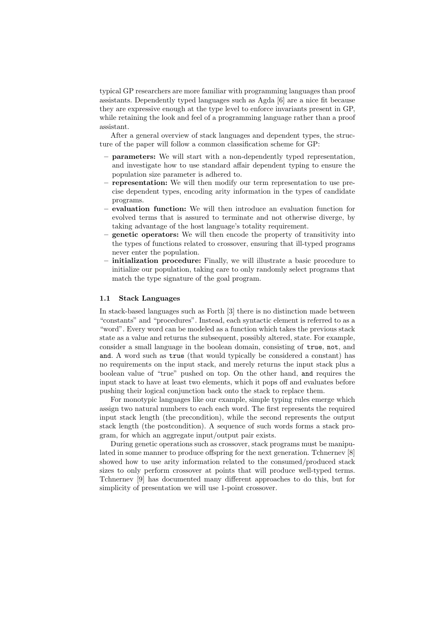typical GP researchers are more familiar with programming languages than proof assistants. Dependently typed languages such as Agda [6] are a nice fit because they are expressive enough at the type level to enforce invariants present in GP, while retaining the look and feel of a programming language rather than a proof assistant.

After a general overview of stack languages and dependent types, the structure of the paper will follow a common classification scheme for GP:

- parameters: We will start with a non-dependently typed representation, and investigate how to use standard affair dependent typing to ensure the population size parameter is adhered to.
- representation: We will then modify our term representation to use precise dependent types, encoding arity information in the types of candidate programs.
- evaluation function: We will then introduce an evaluation function for evolved terms that is assured to terminate and not otherwise diverge, by taking advantage of the host language's totality requirement.
- genetic operators: We will then encode the property of transitivity into the types of functions related to crossover, ensuring that ill-typed programs never enter the population.
- initialization procedure: Finally, we will illustrate a basic procedure to initialize our population, taking care to only randomly select programs that match the type signature of the goal program.

### 1.1 Stack Languages

In stack-based languages such as Forth [3] there is no distinction made between "constants" and "procedures". Instead, each syntactic element is referred to as a "word". Every word can be modeled as a function which takes the previous stack state as a value and returns the subsequent, possibly altered, state. For example, consider a small language in the boolean domain, consisting of true, not, and and. A word such as true (that would typically be considered a constant) has no requirements on the input stack, and merely returns the input stack plus a boolean value of "true" pushed on top. On the other hand, and requires the input stack to have at least two elements, which it pops off and evaluates before pushing their logical conjunction back onto the stack to replace them.

For monotypic languages like our example, simple typing rules emerge which assign two natural numbers to each each word. The first represents the required input stack length (the precondition), while the second represents the output stack length (the postcondition). A sequence of such words forms a stack program, for which an aggregate input/output pair exists.

During genetic operations such as crossover, stack programs must be manipulated in some manner to produce offspring for the next generation. Tchnernev [8] showed how to use arity information related to the consumed/produced stack sizes to only perform crossover at points that will produce well-typed terms. Tchnernev [9] has documented many different approaches to do this, but for simplicity of presentation we will use 1-point crossover.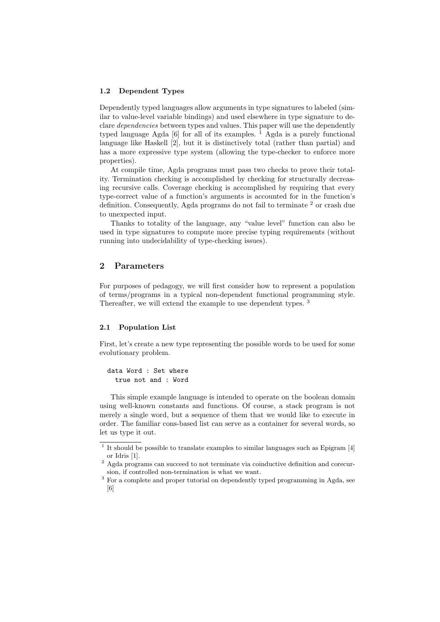### 1.2 Dependent Types

Dependently typed languages allow arguments in type signatures to labeled (similar to value-level variable bindings) and used elsewhere in type signature to declare dependencies between types and values. This paper will use the dependently typed language Agda [6] for all of its examples.  $\frac{1}{1}$  Agda is a purely functional language like Haskell [2], but it is distinctively total (rather than partial) and has a more expressive type system (allowing the type-checker to enforce more properties).

At compile time, Agda programs must pass two checks to prove their totality. Termination checking is accomplished by checking for structurally decreasing recursive calls. Coverage checking is accomplished by requiring that every type-correct value of a function's arguments is accounted for in the function's definition. Consequently, Agda programs do not fail to terminate <sup>2</sup> or crash due to unexpected input.

Thanks to totality of the language, any "value level" function can also be used in type signatures to compute more precise typing requirements (without running into undecidability of type-checking issues).

## 2 Parameters

For purposes of pedagogy, we will first consider how to represent a population of terms/programs in a typical non-dependent functional programming style. Thereafter, we will extend the example to use dependent types. <sup>3</sup>

#### 2.1 Population List

First, let's create a new type representing the possible words to be used for some evolutionary problem.

data Word : Set where true not and : Word

This simple example language is intended to operate on the boolean domain using well-known constants and functions. Of course, a stack program is not merely a single word, but a sequence of them that we would like to execute in order. The familiar cons-based list can serve as a container for several words, so let us type it out.

<sup>&</sup>lt;sup>1</sup> It should be possible to translate examples to similar languages such as Epigram [4] or Idris [1].

<sup>&</sup>lt;sup>2</sup> Agda programs can succeed to not terminate via coinductive definition and corecursion, if controlled non-termination is what we want.

<sup>&</sup>lt;sup>3</sup> For a complete and proper tutorial on dependently typed programming in Agda, see [6]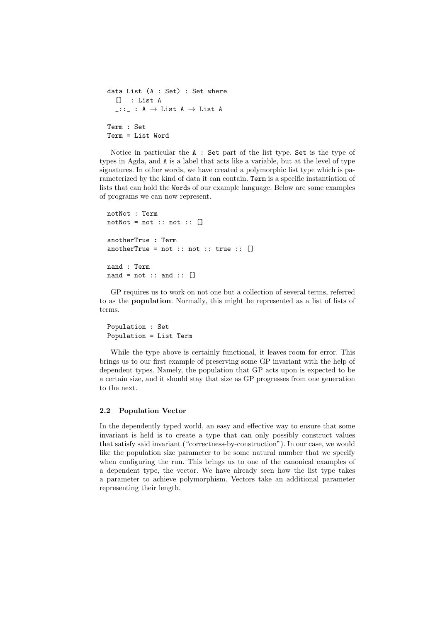```
data List (A : Set) : Set where
  [] : List A
  \_::\_ : A \rightarrow List A \rightarrow List A
Term : Set
Term = List Word
```
Notice in particular the A : Set part of the list type. Set is the type of types in Agda, and A is a label that acts like a variable, but at the level of type signatures. In other words, we have created a polymorphic list type which is parameterized by the kind of data it can contain. Term is a specific instantiation of lists that can hold the Words of our example language. Below are some examples of programs we can now represent.

```
notNot : Term
notNot = not :: not :: [ ]anotherTrue : Term
anotherTrue = not :: not :: true :: []nand : Term
nand = not :: and :: \lceil
```
GP requires us to work on not one but a collection of several terms, referred to as the population. Normally, this might be represented as a list of lists of terms.

```
Population : Set
Population = List Term
```
While the type above is certainly functional, it leaves room for error. This brings us to our first example of preserving some GP invariant with the help of dependent types. Namely, the population that GP acts upon is expected to be a certain size, and it should stay that size as GP progresses from one generation to the next.

### 2.2 Population Vector

In the dependently typed world, an easy and effective way to ensure that some invariant is held is to create a type that can only possibly construct values that satisfy said invariant ("correctness-by-construction"). In our case, we would like the population size parameter to be some natural number that we specify when configuring the run. This brings us to one of the canonical examples of a dependent type, the vector. We have already seen how the list type takes a parameter to achieve polymorphism. Vectors take an additional parameter representing their length.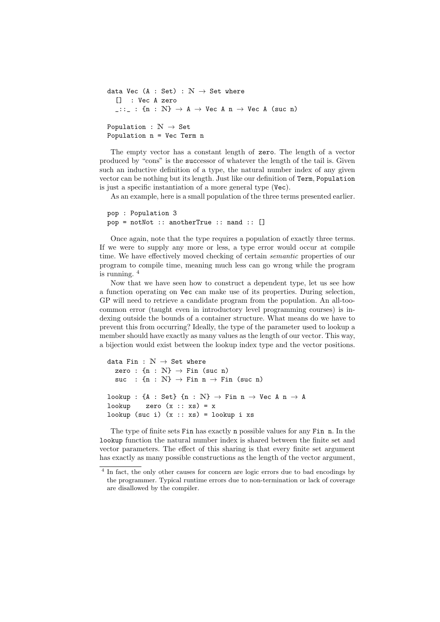```
data Vec (A : Set) : N \rightarrow Set where
   [] : Vec A zero
   \_::\_ : \{n : \mathbb{N}\} \rightarrow A \rightarrow \mathbb{V}ec A n \rightarrow \mathbb{V}ec A (suc n)
Population : \mathbb{N} \to \mathsf{Set}Population n = Vec Term n
```
The empty vector has a constant length of zero. The length of a vector produced by "cons" is the successor of whatever the length of the tail is. Given such an inductive definition of a type, the natural number index of any given vector can be nothing but its length. Just like our definition of Term, Population is just a specific instantiation of a more general type (Vec).

As an example, here is a small population of the three terms presented earlier.

```
pop : Population 3
pop = notNot :: anotherTrue :: nand :: []
```
Once again, note that the type requires a population of exactly three terms. If we were to supply any more or less, a type error would occur at compile time. We have effectively moved checking of certain semantic properties of our program to compile time, meaning much less can go wrong while the program is running.  $4$ 

Now that we have seen how to construct a dependent type, let us see how a function operating on Vec can make use of its properties. During selection, GP will need to retrieve a candidate program from the population. An all-toocommon error (taught even in introductory level programming courses) is indexing outside the bounds of a container structure. What means do we have to prevent this from occurring? Ideally, the type of the parameter used to lookup a member should have exactly as many values as the length of our vector. This way, a bijection would exist between the lookup index type and the vector positions.

```
data Fin : \mathbb{N} \to \mathbb{S}et where
  zero : \{n : \mathbb{N}\} \rightarrow \text{Fin} (suc n)
  suc : \{n : \mathbb{N}\} \to \text{Fin } n \to \text{Fin } (\text{succ } n)lookup : {A : Set} {n : N} \rightarrow Fin n \rightarrow Vec A n \rightarrow A
lookup zero (x :: xs) = xlookup (suc i) (x :: xs) = lookup i xs
```
The type of finite sets Fin has exactly n possible values for any Fin n. In the lookup function the natural number index is shared between the finite set and vector parameters. The effect of this sharing is that every finite set argument has exactly as many possible constructions as the length of the vector argument,

<sup>&</sup>lt;sup>4</sup> In fact, the only other causes for concern are logic errors due to bad encodings by the programmer. Typical runtime errors due to non-termination or lack of coverage are disallowed by the compiler.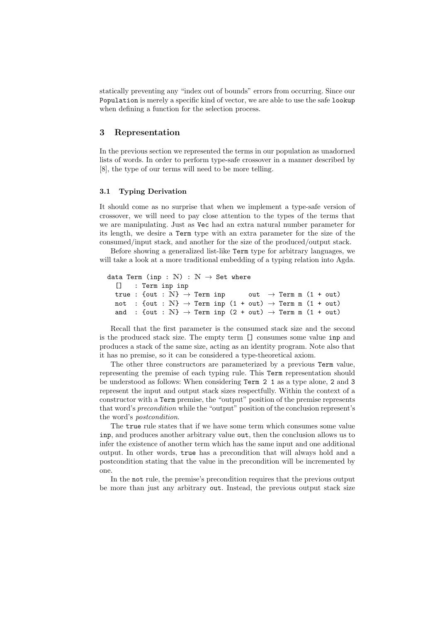statically preventing any "index out of bounds" errors from occurring. Since our Population is merely a specific kind of vector, we are able to use the safe lookup when defining a function for the selection process.

### 3 Representation

In the previous section we represented the terms in our population as unadorned lists of words. In order to perform type-safe crossover in a manner described by [8], the type of our terms will need to be more telling.

### 3.1 Typing Derivation

It should come as no surprise that when we implement a type-safe version of crossover, we will need to pay close attention to the types of the terms that we are manipulating. Just as Vec had an extra natural number parameter for its length, we desire a Term type with an extra parameter for the size of the consumed/input stack, and another for the size of the produced/output stack.

Before showing a generalized list-like Term type for arbitrary languages, we will take a look at a more traditional embedding of a typing relation into Agda.

```
data Term (inp : N) : N \rightarrow Set where
  [] : Term inp inp
  true : {out : \mathbb{N}} \rightarrow Term inp out \rightarrow Term m (1 + out)
  not : {out : \mathbb{N}} \rightarrow Term inp (1 + out) \rightarrow Term m (1 + out)
  and : {out : \mathbb{N}} \rightarrow Term inp (2 + out) \rightarrow Term m (1 + out)
```
Recall that the first parameter is the consumed stack size and the second is the produced stack size. The empty term [] consumes some value inp and produces a stack of the same size, acting as an identity program. Note also that it has no premise, so it can be considered a type-theoretical axiom.

The other three constructors are parameterized by a previous Term value, representing the premise of each typing rule. This Term representation should be understood as follows: When considering Term 2 1 as a type alone, 2 and 3 represent the input and output stack sizes respectfully. Within the context of a constructor with a Term premise, the "output" position of the premise represents that word's precondition while the "output" position of the conclusion represent's the word's postcondition.

The true rule states that if we have some term which consumes some value inp, and produces another arbitrary value out, then the conclusion allows us to infer the existence of another term which has the same input and one additional output. In other words, true has a precondition that will always hold and a postcondition stating that the value in the precondition will be incremented by one.

In the not rule, the premise's precondition requires that the previous output be more than just any arbitrary out. Instead, the previous output stack size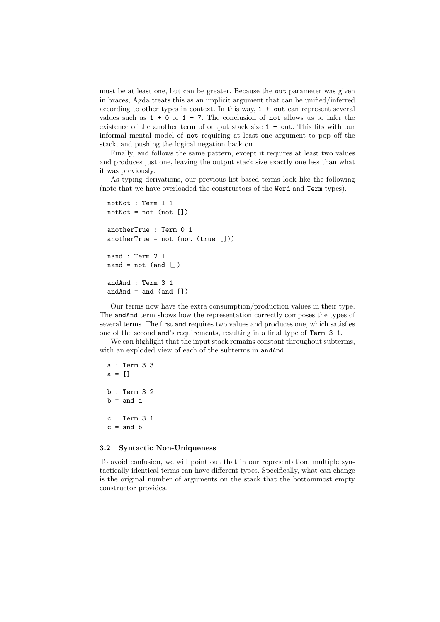must be at least one, but can be greater. Because the out parameter was given in braces, Agda treats this as an implicit argument that can be unified/inferred according to other types in context. In this way, 1 + out can represent several values such as  $1 + 0$  or  $1 + 7$ . The conclusion of not allows us to infer the existence of the another term of output stack size 1 + out. This fits with our informal mental model of not requiring at least one argument to pop off the stack, and pushing the logical negation back on.

Finally, and follows the same pattern, except it requires at least two values and produces just one, leaving the output stack size exactly one less than what it was previously.

As typing derivations, our previous list-based terms look like the following (note that we have overloaded the constructors of the Word and Term types).

```
notNot : Term 1 1
notNot = not (not [])anotherTrue : Term 0 1
anotherTrue = not (not (true [])
nand : Term 2 1
nand = not (and [])
andAnd : Term 3 1
and And = and (and [])
```
Our terms now have the extra consumption/production values in their type. The andAnd term shows how the representation correctly composes the types of several terms. The first and requires two values and produces one, which satisfies one of the second and's requirements, resulting in a final type of Term 3 1.

We can highlight that the input stack remains constant throughout subterms, with an exploded view of each of the subterms in andAnd.

```
a : Term 3 3
a = []b : Term 3 2
b =and a
c : Term 3 1
c =and b
```
### 3.2 Syntactic Non-Uniqueness

To avoid confusion, we will point out that in our representation, multiple syntactically identical terms can have different types. Specifically, what can change is the original number of arguments on the stack that the bottommost empty constructor provides.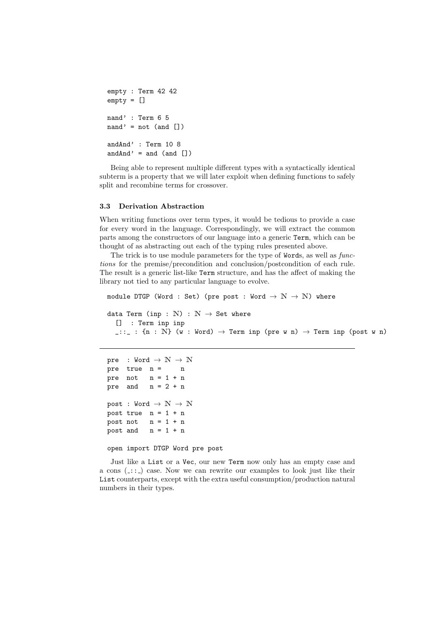```
empty : Term 42 42
empty = []nand' : Term 6 5
nand' = not (and \lceil)
andAnd' : Term 10 8
and And' = and (and [])
```
Being able to represent multiple different types with a syntactically identical subterm is a property that we will later exploit when defining functions to safely split and recombine terms for crossover.

### 3.3 Derivation Abstraction

When writing functions over term types, it would be tedious to provide a case for every word in the language. Correspondingly, we will extract the common parts among the constructors of our language into a generic Term, which can be thought of as abstracting out each of the typing rules presented above.

The trick is to use module parameters for the type of Words, as well as *func*tions for the premise/precondition and conclusion/postcondition of each rule. The result is a generic list-like Term structure, and has the affect of making the library not tied to any particular language to evolve.

```
module DTGP (Word : Set) (pre post : Word \rightarrow N \rightarrow N) where
data Term (inp : \mathbb{N}) : \mathbb{N} \rightarrow Set where
  [] : Term inp inp
  \bot::\bot: {n : N} (w : Word) \rightarrow Term inp (pre w n) \rightarrow Term inp (post w n)
```

```
pre : Word \rightarrow N \rightarrow N
pre true n = n
pre not n = 1 + npre and n = 2 + npost : Word \rightarrow N \rightarrow N
post true n = 1 + npost not n = 1 + npost and n = 1 + n
```
open import DTGP Word pre post

Just like a List or a Vec, our new Term now only has an empty case and a cons  $(\ldots)$  case. Now we can rewrite our examples to look just like their List counterparts, except with the extra useful consumption/production natural numbers in their types.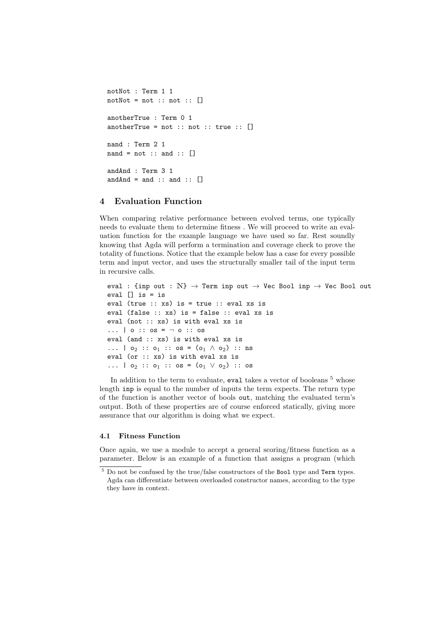```
notNot : Term 1 1
notNot = not :: not :: []anotherTrue : Term 0 1
anotherTrue = not :: not :: true :: \lceil \rceilnand : Term 2 1
nand = not :: and :: []andAnd : Term 3 1
and And = and :: and :: []
```
# 4 Evaluation Function

When comparing relative performance between evolved terms, one typically needs to evaluate them to determine fitness . We will proceed to write an evaluation function for the example language we have used so far. Rest soundly knowing that Agda will perform a termination and coverage check to prove the totality of functions. Notice that the example below has a case for every possible term and input vector, and uses the structurally smaller tail of the input term in recursive calls.

```
eval : {inp out : \mathbb{N}} \rightarrow Term inp out \rightarrow Vec Bool inp \rightarrow Vec Bool out
eval \Box is = is
eval (true :: xs) is = true :: eval xs is
eval (false :: xs) is = false :: eval xs is
eval (not :: xs) is with eval xs is
... \begin{array}{c} 0 : : 0 \leq x \leq 0 \leq x \leq 0 \leq x \leq 0 \leq x \leq 0 \end{array}eval (and :: xs) is with eval xs is
... | o_2 :: o_1 :: os = (o_1 \land o_2) :: ns
eval (or :: xs) is with eval xs is
... | o_2 :: o_1 :: os = (o_1 \vee o_2) :: os
```
In addition to the term to evaluate, eval takes a vector of booleans <sup>5</sup> whose length inp is equal to the number of inputs the term expects. The return type of the function is another vector of bools out, matching the evaluated term's output. Both of these properties are of course enforced statically, giving more assurance that our algorithm is doing what we expect.

### 4.1 Fitness Function

Once again, we use a module to accept a general scoring/fitness function as a parameter. Below is an example of a function that assigns a program (which

 $^5$  Do not be confused by the true/false constructors of the Bool type and  $\mathtt{Term}$  types. Agda can differentiate between overloaded constructor names, according to the type they have in context.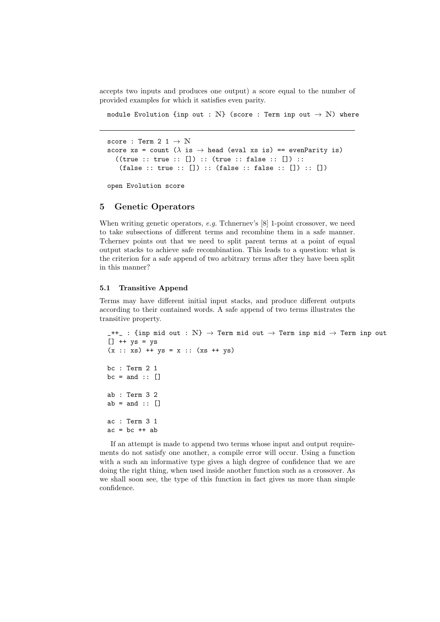accepts two inputs and produces one output) a score equal to the number of provided examples for which it satisfies even parity.

module Evolution {inp out : N} (score : Term inp out  $\rightarrow$  N) where

```
score : Term 2 1 \rightarrow N
score xs = count (\lambda \text{ is } \rightarrow \text{ head } (\text{eval xs is}) == \text{ evenParity is})((true :: true :: []): (true :: false :: []):(false :: true :: []): (false :: false :: []) ::
```
open Evolution score

### 5 Genetic Operators

When writing genetic operators, e.g. Tchnernev's [8] 1-point crossover, we need to take subsections of different terms and recombine them in a safe manner. Tchernev points out that we need to split parent terms at a point of equal output stacks to achieve safe recombination. This leads to a question: what is the criterion for a safe append of two arbitrary terms after they have been split in this manner?

#### 5.1 Transitive Append

Terms may have different initial input stacks, and produce different outputs according to their contained words. A safe append of two terms illustrates the transitive property.

```
-++_ : {inp mid out : N} \rightarrow Term mid out \rightarrow Term inp mid \rightarrow Term inp out
\begin{bmatrix} \end{bmatrix} ++ ys = ys
(x :: xs) ++ ys = x :: (xs ++ ys)bc : Term 2 1
bc = and :: []ab : Term 3 2
ab = and :: []ac : Term 3 1
ac = bc + ab
```
If an attempt is made to append two terms whose input and output requirements do not satisfy one another, a compile error will occur. Using a function with a such an informative type gives a high degree of confidence that we are doing the right thing, when used inside another function such as a crossover. As we shall soon see, the type of this function in fact gives us more than simple confidence.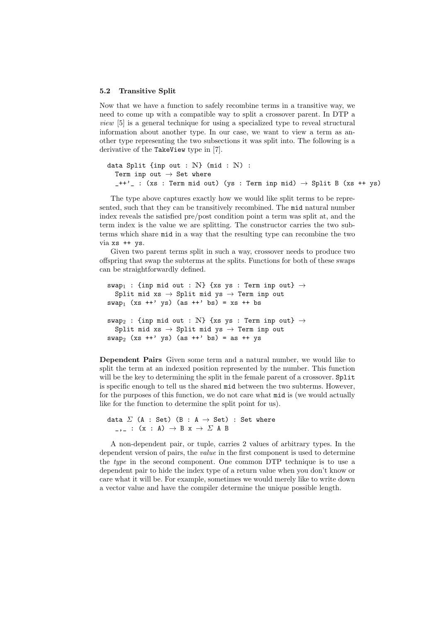#### 5.2 Transitive Split

Now that we have a function to safely recombine terms in a transitive way, we need to come up with a compatible way to split a crossover parent. In DTP a view [5] is a general technique for using a specialized type to reveal structural information about another type. In our case, we want to view a term as another type representing the two subsections it was split into. The following is a derivative of the TakeView type in [7].

```
data Split {inp out : N} (mid : N) :
  Term inp out \rightarrow Set where
  -++'_ : (xs : Term mid out) (ys : Term inp mid) \rightarrow Split B (xs ++ ys)
```
The type above captures exactly how we would like split terms to be represented, such that they can be transitively recombined. The mid natural number index reveals the satisfied pre/post condition point a term was split at, and the term index is the value we are splitting. The constructor carries the two subterms which share mid in a way that the resulting type can recombine the two via xs ++ ys.

Given two parent terms split in such a way, crossover needs to produce two offspring that swap the subterms at the splits. Functions for both of these swaps can be straightforwardly defined.

```
swap<sub>1</sub> : {inp mid out : N} {xs ys : Term inp out} \rightarrowSplit mid xs \rightarrow Split mid ys \rightarrow Term inp out
swap_1 (xs ++' ys) (as ++' bs) = xs ++ bs
swap<sub>2</sub> : {inp mid out : N} {xs ys : Term inp out} \rightarrowSplit mid xs \rightarrow Split mid ys \rightarrow Term inp out
swap_2 (xs ++' ys) (as ++' bs) = as ++ ys
```
Dependent Pairs Given some term and a natural number, we would like to split the term at an indexed position represented by the number. This function will be the key to determining the split in the female parent of a crossover. Split is specific enough to tell us the shared mid between the two subterms. However, for the purposes of this function, we do not care what mid is (we would actually like for the function to determine the split point for us).

```
data \Sigma (A : Set) (B : A \rightarrow Set) : Set where
   \overline{\phantom{a}}, : (x : A) \rightarrow B x \rightarrow \Sigma A B
```
A non-dependent pair, or tuple, carries 2 values of arbitrary types. In the dependent version of pairs, the value in the first component is used to determine the type in the second component. One common DTP technique is to use a dependent pair to hide the index type of a return value when you don't know or care what it will be. For example, sometimes we would merely like to write down a vector value and have the compiler determine the unique possible length.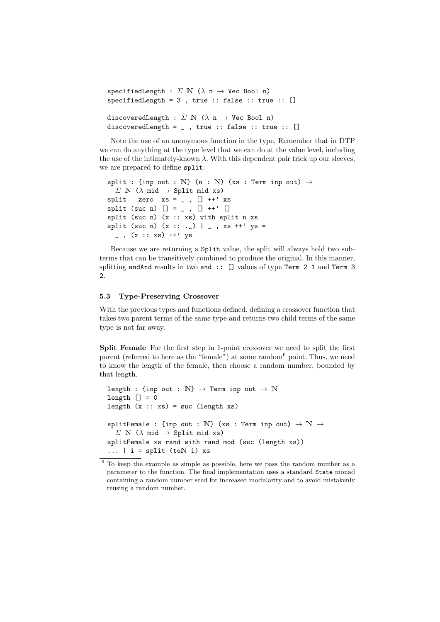```
specifiedLength : \Sigma N (\lambda n \rightarrow Vec Bool n)
specifiedLength = 3 , true :: false :: true :: []
discoveredLength : \Sigma \mathbb{N} (\lambda n \rightarrow Vec Bool n)
discoveredLength = \angle, true :: false :: true :: []
```
Note the use of an anonymous function in the type. Remember that in DTP we can do anything at the type level that we can do at the value level, including the use of the intimately-known  $\lambda$ . With this dependent pair trick up our sleeves, we are prepared to define split.

```
split : {inp out : N} (n : N) (xs : Term inp out) \rightarrow\Sigma N (\lambda mid \rightarrow Split mid xs)
split zero xs = _{0}, [] ++ ' xssplit (suc n) [] = _ , [] +' []split (suc n) (x :: xs) with split n xs
split (suc n) (x : : : \_) |_{-}, xs ++' ys =
  (x :: xs) ++' ys
```
Because we are returning a Split value, the split will always hold two subterms that can be transitively combined to produce the original. In this manner, splitting andAnd results in two and :: [] values of type Term 2 1 and Term 3 2.

### 5.3 Type-Preserving Crossover

With the previous types and functions defined, defining a crossover function that takes two parent terms of the same type and returns two child terms of the same type is not far away.

Split Female For the first step in 1-point crossover we need to split the first parent (referred to here as the "female") at some random<sup>6</sup> point. Thus, we need to know the length of the female, then choose a random number, bounded by that length.

```
length : {inp out : \mathbb{N}} \rightarrow Term inp out \rightarrow N
length [] = 0length (x :: xs) = suc (length xs)
splitFemale : {inp out : N} (xs : Term inp out) \rightarrow N \rightarrow\Sigma N (\lambda mid \rightarrow Split mid xs)
splitFemale xs rand with rand mod (suc (length xs))
\ldots | i = split (toN i) xs
```
 $6$  To keep the example as simple as possible, here we pass the random number as a parameter to the function. The final implementation uses a standard State monad containing a random number seed for increased modularity and to avoid mistakenly reusing a random number.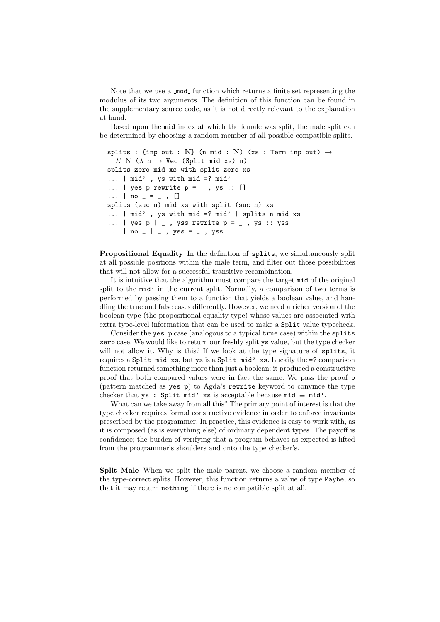Note that we use a mod function which returns a finite set representing the modulus of its two arguments. The definition of this function can be found in the supplementary source code, as it is not directly relevant to the explanation at hand.

Based upon the mid index at which the female was split, the male split can be determined by choosing a random member of all possible compatible splits.

```
splits : {inp out : N} (n mid : N) (xs : Term inp out) \rightarrow\Sigma N (\lambda n \rightarrow Vec (Split mid xs) n)
splits zero mid xs with split zero xs
... | mid' , ys with mid =? mid'
\ldots | yes p rewrite p = \ldots ys :: []
\ldots | no _{-} = _{-} , []
splits (suc n) mid xs with split (suc n) xs
... | mid' , ys with mid =? mid' | splits n mid xs
\dots | yes p | \overline{\phantom{a}}, yss rewrite p = \overline{\phantom{a}}, ys :: yss
... | no _ | _ , yss = _ , yss
```
Propositional Equality In the definition of splits, we simultaneously split at all possible positions within the male term, and filter out those possibilities that will not allow for a successful transitive recombination.

It is intuitive that the algorithm must compare the target mid of the original split to the mid' in the current split. Normally, a comparison of two terms is performed by passing them to a function that yields a boolean value, and handling the true and false cases differently. However, we need a richer version of the boolean type (the propositional equality type) whose values are associated with extra type-level information that can be used to make a Split value typecheck.

Consider the yes p case (analogous to a typical true case) within the splits zero case. We would like to return our freshly split ys value, but the type checker will not allow it. Why is this? If we look at the type signature of splits, it requires a Split mid xs, but ys is a Split mid' xs. Luckily the =? comparison function returned something more than just a boolean: it produced a constructive proof that both compared values were in fact the same. We pass the proof p (pattern matched as yes p) to Agda's rewrite keyword to convince the type checker that ys : Split mid' xs is acceptable because mid  $\equiv$  mid'.

What can we take away from all this? The primary point of interest is that the type checker requires formal constructive evidence in order to enforce invariants prescribed by the programmer. In practice, this evidence is easy to work with, as it is composed (as is everything else) of ordinary dependent types. The payoff is confidence; the burden of verifying that a program behaves as expected is lifted from the programmer's shoulders and onto the type checker's.

Split Male When we split the male parent, we choose a random member of the type-correct splits. However, this function returns a value of type Maybe, so that it may return nothing if there is no compatible split at all.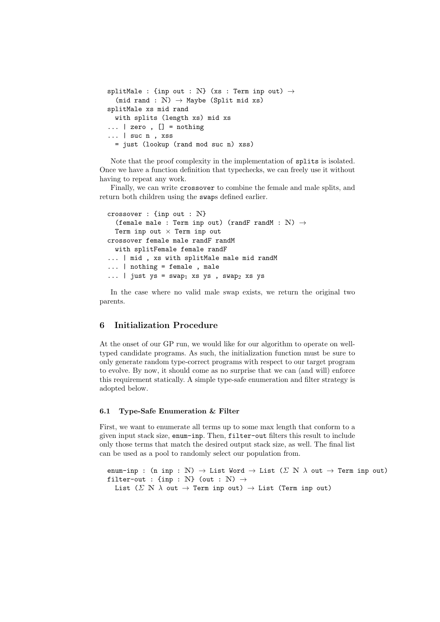```
splitMale : {inp out : N} (xs : Term inp out) \rightarrow(mid rand : \mathbb{N}) \rightarrow Maybe (Split mid xs)
splitMale xs mid rand
  with splits (length xs) mid xs
\ldots | zero, [] = nothing
... | suc n , xss
  = just (lookup (rand mod suc n) xss)
```
Note that the proof complexity in the implementation of splits is isolated. Once we have a function definition that typechecks, we can freely use it without having to repeat any work.

Finally, we can write crossover to combine the female and male splits, and return both children using the swaps defined earlier.

```
crossover : {inp out : N}
  (female male : Term inp out) (randF randM : \mathbb{N}) \rightarrowTerm inp out \times Term inp out
crossover female male randF randM
  with splitFemale female randF
... | mid, xs with splitMale male mid randM
... | nothing = female , male
... | just ys = swap<sub>1</sub> xs ys , swap<sub>2</sub> xs ys
```
In the case where no valid male swap exists, we return the original two parents.

# 6 Initialization Procedure

At the onset of our GP run, we would like for our algorithm to operate on welltyped candidate programs. As such, the initialization function must be sure to only generate random type-correct programs with respect to our target program to evolve. By now, it should come as no surprise that we can (and will) enforce this requirement statically. A simple type-safe enumeration and filter strategy is adopted below.

### 6.1 Type-Safe Enumeration & Filter

First, we want to enumerate all terms up to some max length that conform to a given input stack size, enum-inp. Then, filter-out filters this result to include only those terms that match the desired output stack size, as well. The final list can be used as a pool to randomly select our population from.

```
enum-inp : (n inp : N) \rightarrow List Word \rightarrow List (\Sigma N \lambda out \rightarrow Term inp out)
filter-out : {inp : N} (out : N) \rightarrowList (\Sigma \ N \ \lambda \text{ out } \rightarrow \text{Term inp out}) \rightarrow \text{List (Term inp out)}
```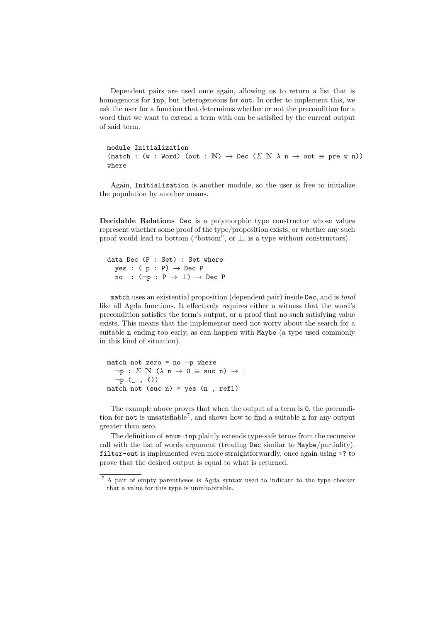Dependent pairs are used once again, allowing us to return a list that is homogenous for inp, but heterogeneous for out. In order to implement this, we ask the user for a function that determines whether or not the precondition for a word that we want to extend a term with can be satisfied by the current output of said term.

```
module Initialization
(match : (w : Word) (out : N) \rightarrow Dec (\Sigma N \lambda n \rightarrow out \equiv pre w n))
where
```
Again, Initialization is another module, so the user is free to initialize the population by another means.

Decidable Relations Dec is a polymorphic type constructor whose values represent whether some proof of the type/proposition exists, or whether any such proof would lead to bottom ("bottom", or  $\perp$ , is a type without constructors).

data Dec (P : Set) : Set where yes :  $(p : P) \rightarrow Dec P$ no :  $(\neg p : P \rightarrow \bot) \rightarrow Dec P$ 

match uses an existential proposition (dependent pair) inside Dec, and is total like all Agda functions. It effectively requires either a witness that the word's precondition satisfies the term's output, or a proof that no such satisfying value exists. This means that the implementor need not worry about the search for a suitable n ending too early, as can happen with Maybe (a type used commonly in this kind of situation).

match not zero = no  $\neg p$  where  $\neg p : \Sigma \ N \ (\lambda \ n \rightarrow 0 \equiv \text{succ } n) \ \rightarrow \ \bot$  $\neg p$  ( , ()) match not (suc n) = yes  $(n, refl)$ 

The example above proves that when the output of a term is 0, the precondition for not is unsatisfiable<sup>7</sup>, and shows how to find a suitable n for any output greater than zero.

The definition of enum-inp plainly extends type-safe terms from the recursive call with the list of words argument (treating Dec similar to Maybe/partiality). filter-out is implemented even more straightforwardly, once again using =? to prove that the desired output is equal to what is returned.

<sup>7</sup> A pair of empty parentheses is Agda syntax used to indicate to the type checker that a value for this type is uninhabitable.